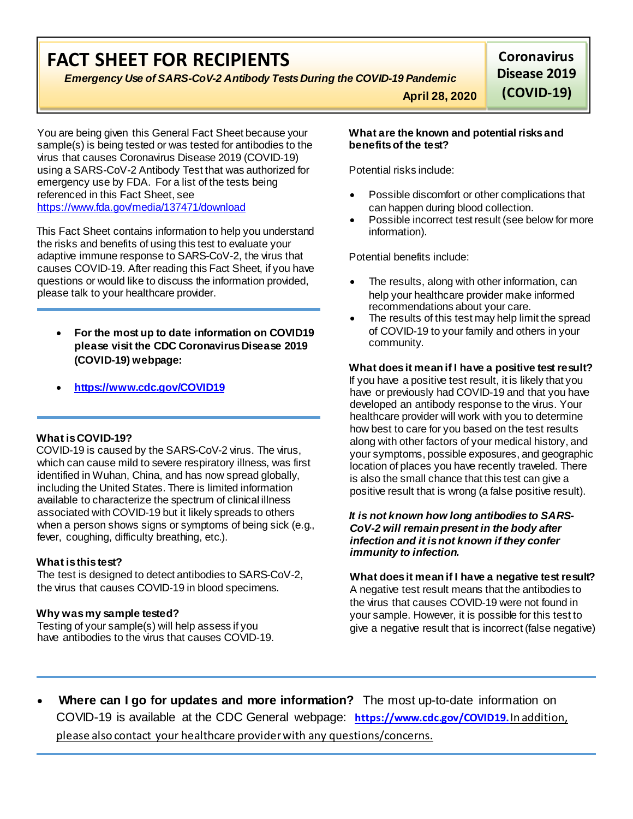# **FACT SHEET FOR RECIPIENTS**

*Emergency Use of SARS-CoV-2 Antibody Tests During the COVID-19 Pandemic*

**Coronavirus Disease 2019 (COVID-19)**

**April 28, 2020**

You are being given this General Fact Sheet because your sample(s) is being tested or was tested for antibodies to the virus that causes Coronavirus Disease 2019 (COVID-19) using a SARS-CoV-2 Antibody Test that was authorized for emergency use by FDA. For a list of the tests being referenced in this Fact Sheet, see <https://www.fda.gov/media/137471/download>

This Fact Sheet contains information to help you understand the risks and benefits of using this test to evaluate your adaptive immune response to SARS-CoV-2, the virus that causes COVID-19. After reading this Fact Sheet, if you have questions or would like to discuss the information provided, please talk to your healthcare provider.

- **For the most up to date information on COVID19 please visit the CDC Coronavirus Disease 2019 (COVID-19) webpage:**
- **[https://www.cdc.gov/COVID19](https://www.cdc.gov/nCoV)**

## **What is COVID-19?**

COVID-19 is caused by the SARS-CoV-2 virus. The virus, which can cause mild to severe respiratory illness, was first identified in Wuhan, China, and has now spread globally, including the United States. There is limited information available to characterize the spectrum of clinical illness associated with COVID-19 but it likely spreads to others when a person shows signs or symptoms of being sick (e.g., fever, coughing, difficulty breathing, etc.).

### **What is thistest?**

The test is designed to detect antibodies to SARS-CoV-2, the virus that causes COVID-19 in blood specimens.

### **Why was my sample tested?**

Testing of your sample(s) will help assess if you have antibodies to the virus that causes COVID-19.

#### **What are the known and potential risks and benefits of the test?**

Potential risks include:

- Possible discomfort or other complications that can happen during blood collection.
- Possible incorrect test result (see below for more information).

Potential benefits include:

- The results, along with other information, can help your healthcare provider make informed recommendations about your care.
- The results of this test may help limit the spread of COVID-19 to your family and others in your community.

#### **What does it mean if I have a positive test result?**

If you have a positive test result, it is likely that you have or previously had COVID-19 and that you have developed an antibody response to the virus. Your healthcare provider will work with you to determine how best to care for you based on the test results along with other factors of your medical history, and your symptoms, possible exposures, and geographic location of places you have recently traveled. There is also the small chance that this test can give a positive result that is wrong (a false positive result).

#### *It is not known how long antibodies to SARS-CoV-2 will remain present in the body after infection and it is not known if they confer immunity to infection.*

**What does it mean if I have a negative test result?**

A negative test result means that the antibodies to the virus that causes COVID-19 were not found in your sample. However, it is possible for this test to give a negative result that is incorrect (false negative)

• **Where can I go for updates and more information?** The most up-to-date information on COVID-19 is available at the CDC General webpage: **[https://www.cdc.gov/COVID19](https://www.cdc.gov/nCoV).** In addition, please also contact your healthcare provider with any questions/concerns.